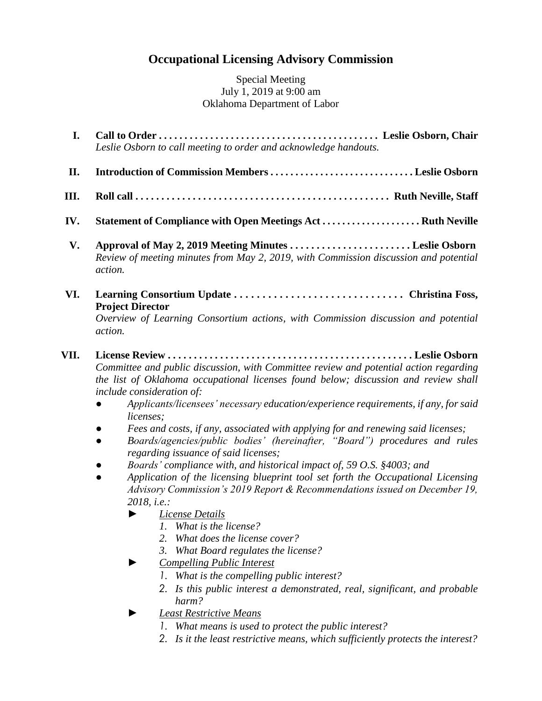## **Occupational Licensing Advisory Commission**

Special Meeting July 1, 2019 at 9:00 am Oklahoma Department of Labor

- **I. Call to Order . . . . . . . . . . . . . . . . . . . . . . . . . . . . . . . . . . . . . . . . . . . Leslie Osborn, Chair**  *Leslie Osborn to call meeting to order and acknowledge handouts.*
- **II. Introduction of Commission Members . . . . . . . . . . . . . . . . . . . . . . . . . . . . . Leslie Osborn**
- **III. Roll call . . . . . . . . . . . . . . . . . . . . . . . . . . . . . . . . . . . . . . . . . . . . . . . . . Ruth Neville, Staff**
- **IV. Statement of Compliance with Open Meetings Act . . . . . . . . . . . . . . . . . . . . Ruth Neville**
- **V. Approval of May 2, 2019 Meeting Minutes . . . . . . . . . . . . . . . . . . . . . . . Leslie Osborn** *Review of meeting minutes from May 2, 2019, with Commission discussion and potential action.*
- **VI. Learning Consortium Update . . . . . . . . . . . . . . . . . . . . . . . . . . . . . . Christina Foss, Project Director**

*Overview of Learning Consortium actions, with Commission discussion and potential action.*

- **VII. License Review . . . . . . . . . . . . . . . . . . . . . . . . . . . . . . . . . . . . . . . . . . . . . . . Leslie Osborn** *Committee and public discussion, with Committee review and potential action regarding the list of Oklahoma occupational licenses found below; discussion and review shall include consideration of:*
	- *● Applicants/licensees' necessary education/experience requirements, if any, for said licenses;*
	- *● Fees and costs, if any, associated with applying for and renewing said licenses;*
	- *● Boards/agencies/public bodies' (hereinafter, "Board") procedures and rules regarding issuance of said licenses;*
	- *● Boards' compliance with, and historical impact of, 59 O.S. §4003; and*
	- *● Application of the licensing blueprint tool set forth the Occupational Licensing Advisory Commission's 2019 Report & Recommendations issued on December 19, 2018, i.e.:*
		- *► License Details*
			- *1. What is the license?*
			- *2. What does the license cover?*
			- *3. What Board regulates the license?*
		- *► Compelling Public Interest*
			- *1. What is the compelling public interest?*
			- *2. Is this public interest a demonstrated, real, significant, and probable harm?*
		- *► Least Restrictive Means*
			- *1. What means is used to protect the public interest?*
			- *2. Is it the least restrictive means, which sufficiently protects the interest?*